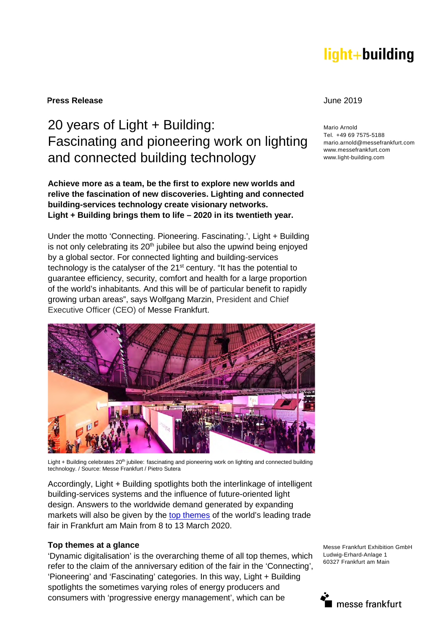# light+building

**Press Release** June 2019

20 years of Light + Building: Fascinating and pioneering work on lighting and connected building technology Mario Arnold Tel. +49 69 7575-5188 mario.arnold@messefrankfurt.com www.messefrankfurt.com www.light-building.com

**Achieve more as a team, be the first to explore new worlds and relive the fascination of new discoveries. Lighting and connected building-services technology create visionary networks. Light + Building brings them to life – 2020 in its twentieth year.** 

Under the motto 'Connecting. Pioneering. Fascinating.', Light + Building is not only celebrating its  $20<sup>th</sup>$  jubilee but also the upwind being enjoyed by a global sector. For connected lighting and building-services technology is the catalyser of the 21<sup>st</sup> century. "It has the potential to guarantee efficiency, security, comfort and health for a large proportion of the world's inhabitants. And this will be of particular benefit to rapidly growing urban areas", says Wolfgang Marzin, President and Chief Executive Officer (CEO) of Messe Frankfurt.



Light + Building celebrates 20<sup>th</sup> jubilee: fascinating and pioneering work on lighting and connected building technology. / Source: Messe Frankfurt / Pietro Sutera

Accordingly, Light + Building spotlights both the interlinkage of intelligent building-services systems and the influence of future-oriented light design. Answers to the worldwide demand generated by expanding markets will also be given by the [top themes](https://light-building.messefrankfurt.com/frankfurt/en/programme-events/topthemes.html) of the world's leading trade fair in Frankfurt am Main from 8 to 13 March 2020.

### **Top themes at a glance**

'Dynamic digitalisation' is the overarching theme of all top themes, which refer to the claim of the anniversary edition of the fair in the 'Connecting', 'Pioneering' and 'Fascinating' categories. In this way, Light + Building spotlights the sometimes varying roles of energy producers and consumers with 'progressive energy management', which can be

Messe Frankfurt Exhibition GmbH Ludwig-Erhard-Anlage 1 60327 Frankfurt am Main

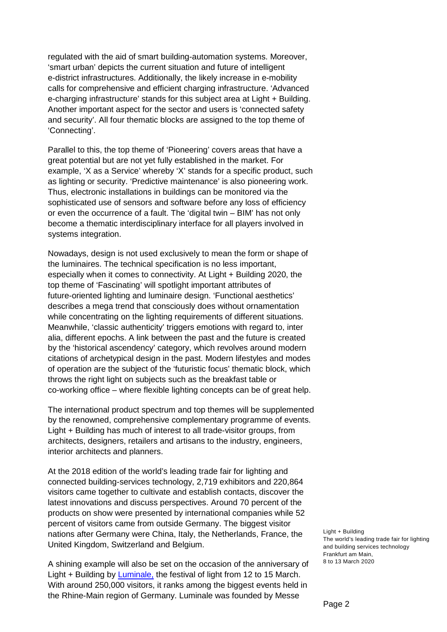regulated with the aid of smart building-automation systems. Moreover, 'smart urban' depicts the current situation and future of intelligent e-district infrastructures. Additionally, the likely increase in e-mobility calls for comprehensive and efficient charging infrastructure. 'Advanced e-charging infrastructure' stands for this subject area at Light + Building. Another important aspect for the sector and users is 'connected safety and security'. All four thematic blocks are assigned to the top theme of 'Connecting'.

Parallel to this, the top theme of 'Pioneering' covers areas that have a great potential but are not yet fully established in the market. For example, 'X as a Service' whereby 'X' stands for a specific product, such as lighting or security. 'Predictive maintenance' is also pioneering work. Thus, electronic installations in buildings can be monitored via the sophisticated use of sensors and software before any loss of efficiency or even the occurrence of a fault. The 'digital twin – BIM' has not only become a thematic interdisciplinary interface for all players involved in systems integration.

Nowadays, design is not used exclusively to mean the form or shape of the luminaires. The technical specification is no less important, especially when it comes to connectivity. At Light + Building 2020, the top theme of 'Fascinating' will spotlight important attributes of future-oriented lighting and luminaire design. 'Functional aesthetics' describes a mega trend that consciously does without ornamentation while concentrating on the lighting requirements of different situations. Meanwhile, 'classic authenticity' triggers emotions with regard to, inter alia, different epochs. A link between the past and the future is created by the 'historical ascendency' category, which revolves around modern citations of archetypical design in the past. Modern lifestyles and modes of operation are the subject of the 'futuristic focus' thematic block, which throws the right light on subjects such as the breakfast table or co-working office – where flexible lighting concepts can be of great help.

The international product spectrum and top themes will be supplemented by the renowned, comprehensive complementary programme of events. Light + Building has much of interest to all trade-visitor groups, from architects, designers, retailers and artisans to the industry, engineers, interior architects and planners.

At the 2018 edition of the world's leading trade fair for lighting and connected building-services technology, 2,719 exhibitors and 220,864 visitors came together to cultivate and establish contacts, discover the latest innovations and discuss perspectives. Around 70 percent of the products on show were presented by international companies while 52 percent of visitors came from outside Germany. The biggest visitor nations after Germany were China, Italy, the Netherlands, France, the United Kingdom, Switzerland and Belgium.

[A shining example will also be set on the occasion of the anniversary of](https://luminale-frankfurt.de/en/startpage/)  Light + Building by Luminale, the festival of light from 12 to 15 March. With around 250,000 visitors, it ranks among the biggest events held in the Rhine-Main region of Germany. Luminale was founded by Messe

Light + Building The world's leading trade fair for lighting and building services technology Frankfurt am Main, 8 to 13 March 2020